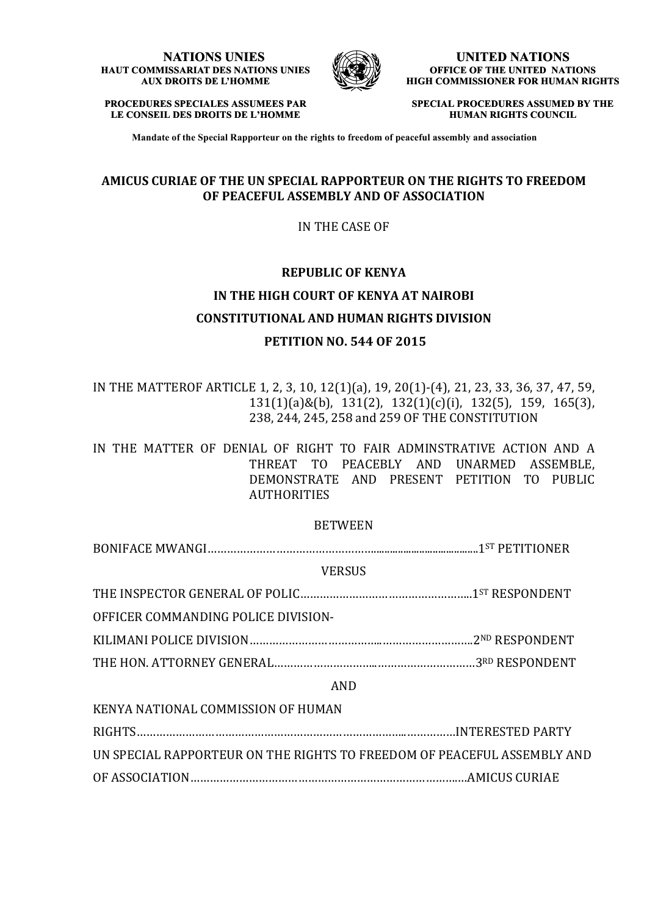#### **NATIONS UNIES HAUT COMMISSARIAT DES NATIONS UNIES AUX DROITS DE L'HOMME**



**UNITED NATIONS OFFICE OF THE UNITED NATIONS HIGH COMMISSIONER FOR HUMAN RIGHTS**

**PROCEDURES SPECIALES ASSUMEES PAR LE CONSEIL DES DROITS DE L'HOMME**

**SPECIAL PROCEDURES ASSUMED BY THE HUMAN RIGHTS COUNCIL**

**Mandate of the Special Rapporteur on the rights to freedom of peaceful assembly and association**

#### **AMICUS CURIAE OF THE UN SPECIAL RAPPORTEUR ON THE RIGHTS TO FREEDOM OF PEACEFUL ASSEMBLY AND OF ASSOCIATION**

IN THE CASE OF

# **REPUBLIC OF KENYA IN THE HIGH COURT OF KENYA AT NAIROBI CONSTITUTIONAL AND HUMAN RIGHTS DIVISION PETITION NO. 544 OF 2015**

IN THE MATTEROF ARTICLE 1, 2, 3, 10, 12(1)(a), 19, 20(1)-(4), 21, 23, 33, 36, 37, 47, 59,  $131(1)(a)$ &(b),  $131(2)$ ,  $132(1)(c)(i)$ ,  $132(5)$ ,  $159$ ,  $165(3)$ , 238, 244, 245, 258 and 259 OF THE CONSTITUTION

IN THE MATTER OF DENIAL OF RIGHT TO FAIR ADMINSTRATIVE ACTION AND A THREAT TO PEACEBLY AND UNARMED ASSEMBLE, DEMONSTRATE AND PRESENT PETITION TO PUBLIC **AUTHORITIES** 

#### BETWEEN

 $\textbf{BONIFACE MWMNGI} \text{.................} \textbf{1}^{\text{ST}} \text{ PETITIONER}$ 

**VERSUS** 

THE INSPECTOR GENERAL OF POLIC…………………………………………………1ST RESPONDENT

OFFICER COMMANDING POLICE DIVISION-

KILIMANI POLICE DIVISION…………………………………..……………………….2ND RESPONDENT

THE HON. ATTORNEY GENERAL…………………………..…………………………3RD RESPONDENT

#### AND

KENYA NATIONAL COMMISSION OF HUMAN RIGHTS………………………………………………………………………..……………INTERESTED PARTY UN SPECIAL RAPPORTEUR ON THE RIGHTS TO FREEDOM OF PEACEFUL ASSEMBLY AND OF ASSOCIATION……………………………………………………………………….…AMICUS CURIAE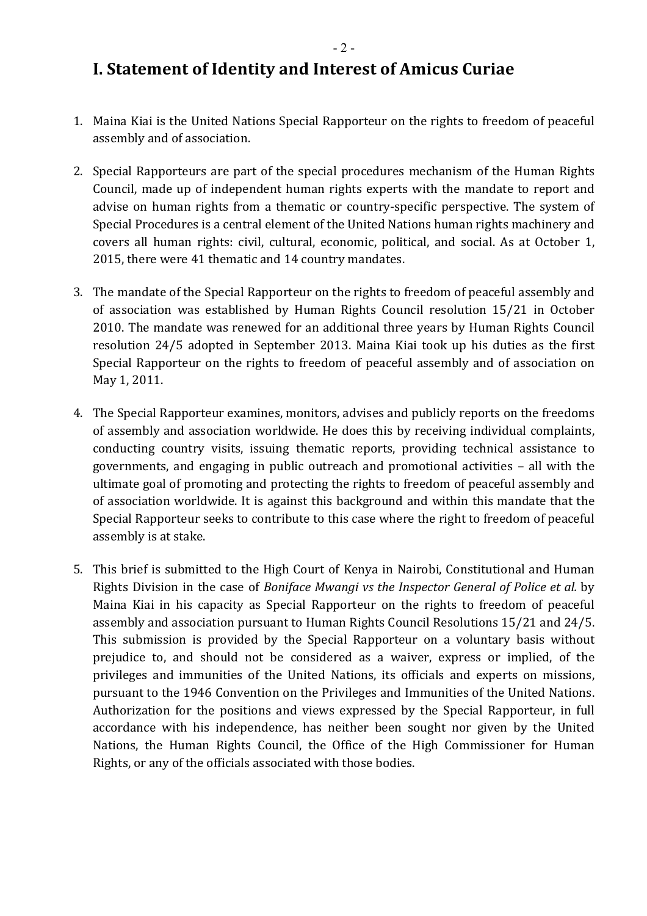- 2 -

### **I. Statement of Identity and Interest of Amicus Curiae**

- 1. Maina Kiai is the United Nations Special Rapporteur on the rights to freedom of peaceful assembly and of association.
- 2. Special Rapporteurs are part of the special procedures mechanism of the Human Rights Council, made up of independent human rights experts with the mandate to report and advise on human rights from a thematic or country-specific perspective. The system of Special Procedures is a central element of the United Nations human rights machinery and covers all human rights: civil, cultural, economic, political, and social. As at October 1, 2015, there were 41 thematic and 14 country mandates.
- 3. The mandate of the Special Rapporteur on the rights to freedom of peaceful assembly and of association was established by Human Rights Council resolution 15/21 in October 2010. The mandate was renewed for an additional three years by Human Rights Council resolution 24/5 adopted in September 2013. Maina Kiai took up his duties as the first Special Rapporteur on the rights to freedom of peaceful assembly and of association on May 1, 2011.
- 4. The Special Rapporteur examines, monitors, advises and publicly reports on the freedoms of assembly and association worldwide. He does this by receiving individual complaints, conducting country visits, issuing thematic reports, providing technical assistance to governments, and engaging in public outreach and promotional activities – all with the ultimate goal of promoting and protecting the rights to freedom of peaceful assembly and of association worldwide. It is against this background and within this mandate that the Special Rapporteur seeks to contribute to this case where the right to freedom of peaceful assembly is at stake.
- 5. This brief is submitted to the High Court of Kenya in Nairobi, Constitutional and Human Rights Division in the case of *Boniface Mwangi vs the Inspector General of Police et al.* by Maina Kiai in his capacity as Special Rapporteur on the rights to freedom of peaceful assembly and association pursuant to Human Rights Council Resolutions 15/21 and 24/5. This submission is provided by the Special Rapporteur on a voluntary basis without prejudice to, and should not be considered as a waiver, express or implied, of the privileges and immunities of the United Nations, its officials and experts on missions, pursuant to the 1946 Convention on the Privileges and Immunities of the United Nations. Authorization for the positions and views expressed by the Special Rapporteur, in full accordance with his independence, has neither been sought nor given by the United Nations, the Human Rights Council, the Office of the High Commissioner for Human Rights, or any of the officials associated with those bodies.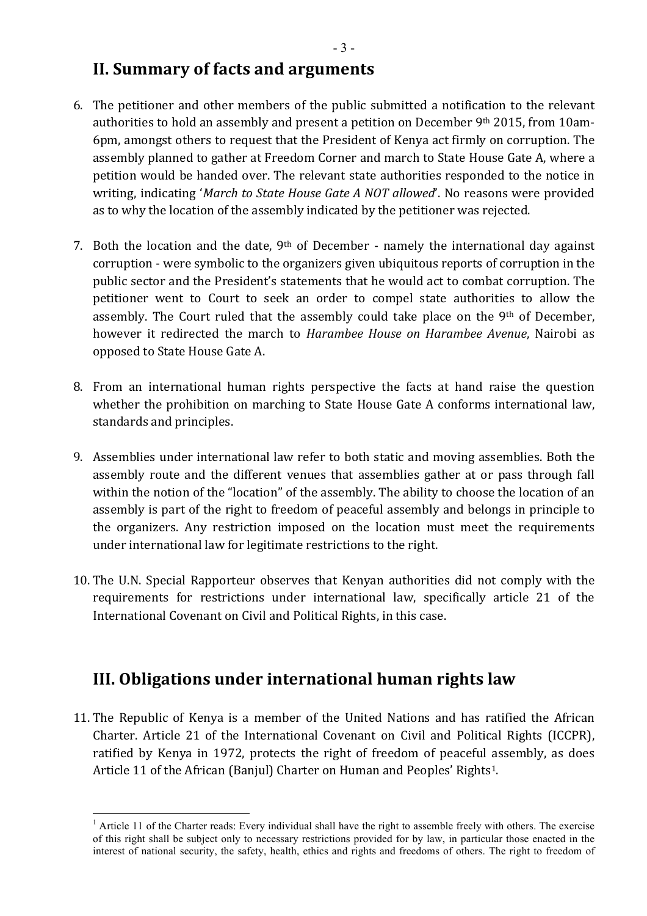### **II. Summary of facts and arguments**

- 6. The petitioner and other members of the public submitted a notification to the relevant authorities to hold an assembly and present a petition on December  $9<sup>th</sup>$  2015, from 10am-6pm, amongst others to request that the President of Kenya act firmly on corruption. The assembly planned to gather at Freedom Corner and march to State House Gate A, where a petition would be handed over. The relevant state authorities responded to the notice in writing, indicating '*March to State House Gate A NOT allowed*'. No reasons were provided as to why the location of the assembly indicated by the petitioner was rejected.
- 7. Both the location and the date,  $9<sup>th</sup>$  of December namely the international day against corruption - were symbolic to the organizers given ubiquitous reports of corruption in the public sector and the President's statements that he would act to combat corruption. The petitioner went to Court to seek an order to compel state authorities to allow the assembly. The Court ruled that the assembly could take place on the 9<sup>th</sup> of December, however it redirected the march to *Harambee House on Harambee Avenue*, Nairobi as opposed to State House Gate A.
- 8. From an international human rights perspective the facts at hand raise the question whether the prohibition on marching to State House Gate A conforms international law, standards and principles.
- 9. Assemblies under international law refer to both static and moving assemblies. Both the assembly route and the different venues that assemblies gather at or pass through fall within the notion of the "location" of the assembly. The ability to choose the location of an assembly is part of the right to freedom of peaceful assembly and belongs in principle to the organizers. Any restriction imposed on the location must meet the requirements under international law for legitimate restrictions to the right.
- 10. The U.N. Special Rapporteur observes that Kenyan authorities did not comply with the requirements for restrictions under international law, specifically article 21 of the International Covenant on Civil and Political Rights, in this case.

## **III. Obligations under international human rights law**

11. The Republic of Kenya is a member of the United Nations and has ratified the African Charter. Article 21 of the International Covenant on Civil and Political Rights (ICCPR), ratified by Kenya in 1972, protects the right of freedom of peaceful assembly, as does Article 11 of the African (Banjul) Charter on Human and Peoples' Rights<sup>1</sup>.

<sup>&</sup>lt;sup>1</sup> Article 11 of the Charter reads: Every individual shall have the right to assemble freely with others. The exercise of this right shall be subject only to necessary restrictions provided for by law, in particular those enacted in the interest of national security, the safety, health, ethics and rights and freedoms of others. The right to freedom of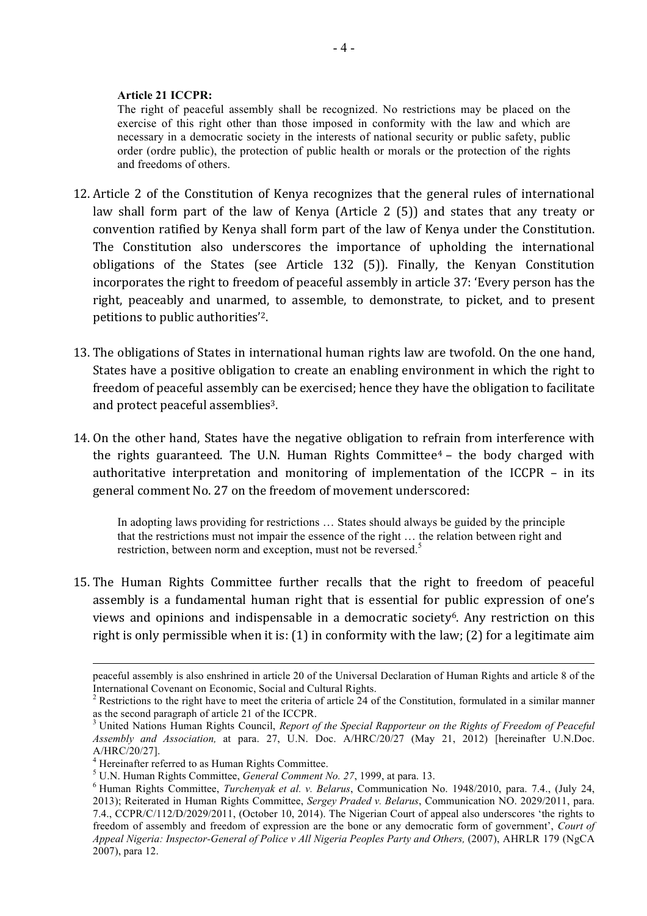#### **Article 21 ICCPR:**

The right of peaceful assembly shall be recognized. No restrictions may be placed on the exercise of this right other than those imposed in conformity with the law and which are necessary in a democratic society in the interests of national security or public safety, public order (ordre public), the protection of public health or morals or the protection of the rights and freedoms of others.

- 12. Article 2 of the Constitution of Kenya recognizes that the general rules of international law shall form part of the law of Kenya (Article  $2(5)$ ) and states that any treaty or convention ratified by Kenya shall form part of the law of Kenya under the Constitution. The Constitution also underscores the importance of upholding the international obligations of the States (see Article 132  $(5)$ ). Finally, the Kenyan Constitution incorporates the right to freedom of peaceful assembly in article 37: 'Every person has the right, peaceably and unarmed, to assemble, to demonstrate, to picket, and to present petitions to public authorities'<sup>2</sup>.
- 13. The obligations of States in international human rights law are twofold. On the one hand, States have a positive obligation to create an enabling environment in which the right to freedom of peaceful assembly can be exercised; hence they have the obligation to facilitate and protect peaceful assemblies<sup>3</sup>.
- 14. On the other hand, States have the negative obligation to refrain from interference with the rights guaranteed. The U.N. Human Rights Committee<sup>4</sup> – the body charged with authoritative interpretation and monitoring of implementation of the ICCPR – in its general comment No. 27 on the freedom of movement underscored:

In adopting laws providing for restrictions … States should always be guided by the principle that the restrictions must not impair the essence of the right … the relation between right and restriction, between norm and exception, must not be reversed.<sup>5</sup>

15. The Human Rights Committee further recalls that the right to freedom of peaceful assembly is a fundamental human right that is essential for public expression of one's views and opinions and indispensable in a democratic society<sup>6</sup>. Any restriction on this right is only permissible when it is:  $(1)$  in conformity with the law;  $(2)$  for a legitimate aim

1

peaceful assembly is also enshrined in article 20 of the Universal Declaration of Human Rights and article 8 of the International Covenant on Economic, Social and Cultural Rights.

 $2$  Restrictions to the right have to meet the criteria of article 24 of the Constitution, formulated in a similar manner as the second paragraph of article 21 of the ICCPR.

<sup>3</sup> United Nations Human Rights Council, *Report of the Special Rapporteur on the Rights of Freedom of Peaceful Assembly and Association,* at para. 27, U.N. Doc. A/HRC/20/27 (May 21, 2012) [hereinafter U.N.Doc. A/HRC/20/27].<br><sup>4</sup> Hereinafter referred to as Human Rights Committee.

<sup>5</sup> U.N. Human Rights Committee, *General Comment No. 27*, 1999, at para. 13. 6 Human Rights Committee, *Turchenyak et al. v. Belarus*, Communication No. 1948/2010, para. 7.4., (July 24, 2013); Reiterated in Human Rights Committee, *Sergey Praded v. Belarus*, Communication NO. 2029/2011, para. 7.4., CCPR/C/112/D/2029/2011, (October 10, 2014). The Nigerian Court of appeal also underscores 'the rights to freedom of assembly and freedom of expression are the bone or any democratic form of government', *Court of Appeal Nigeria: Inspector-General of Police v All Nigeria Peoples Party and Others,* (2007), AHRLR 179 (NgCA 2007), para 12.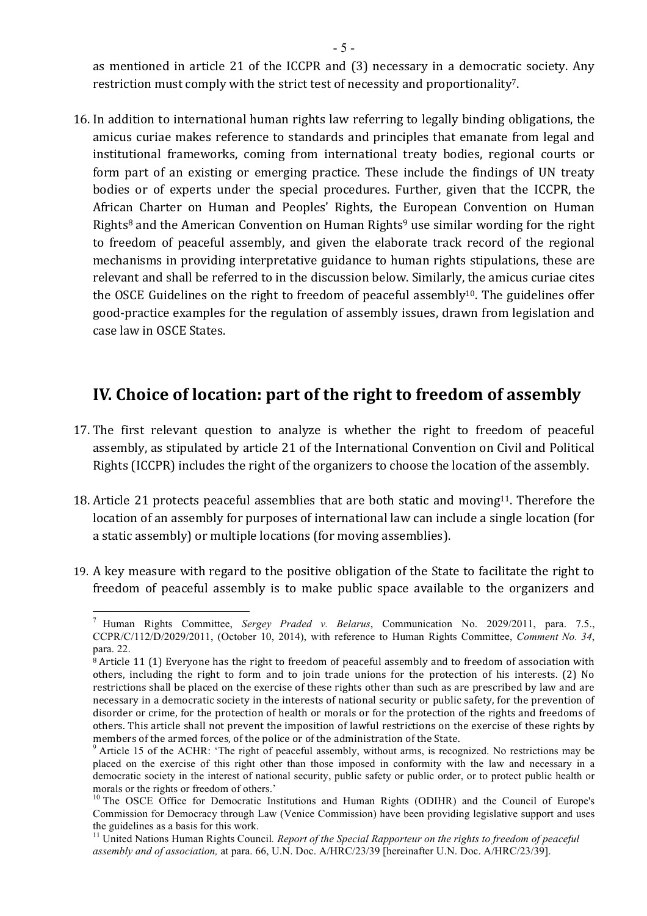as mentioned in article 21 of the ICCPR and (3) necessary in a democratic society. Any restriction must comply with the strict test of necessity and proportionality<sup>7</sup>.

16. In addition to international human rights law referring to legally binding obligations, the amicus curiae makes reference to standards and principles that emanate from legal and institutional frameworks, coming from international treaty bodies, regional courts or form part of an existing or emerging practice. These include the findings of UN treaty bodies or of experts under the special procedures. Further, given that the ICCPR, the African Charter on Human and Peoples' Rights, the European Convention on Human Rights<sup>8</sup> and the American Convention on Human Rights<sup>9</sup> use similar wording for the right to freedom of peaceful assembly, and given the elaborate track record of the regional mechanisms in providing interpretative guidance to human rights stipulations, these are relevant and shall be referred to in the discussion below. Similarly, the amicus curiae cites the OSCE Guidelines on the right to freedom of peaceful assembly<sup>10</sup>. The guidelines offer good-practice examples for the regulation of assembly issues, drawn from legislation and case law in OSCE States.

### **IV.** Choice of location: part of the right to freedom of assembly

- 17. The first relevant question to analyze is whether the right to freedom of peaceful assembly, as stipulated by article 21 of the International Convention on Civil and Political Rights (ICCPR) includes the right of the organizers to choose the location of the assembly.
- 18. Article 21 protects peaceful assemblies that are both static and moving<sup>11</sup>. Therefore the location of an assembly for purposes of international law can include a single location (for a static assembly) or multiple locations (for moving assemblies).
- 19. A key measure with regard to the positive obligation of the State to facilitate the right to freedom of peaceful assembly is to make public space available to the organizers and

 <sup>7</sup> Human Rights Committee, *Sergey Praded v. Belarus*, Communication No. 2029/2011, para. 7.5., CCPR/C/112/D/2029/2011, (October 10, 2014), with reference to Human Rights Committee, *Comment No. 34*, para. 22.

 $\overline{8}$  Article 11 (1) Everyone has the right to freedom of peaceful assembly and to freedom of association with others, including the right to form and to join trade unions for the protection of his interests. (2) No restrictions shall be placed on the exercise of these rights other than such as are prescribed by law and are necessary in a democratic society in the interests of national security or public safety, for the prevention of disorder or crime, for the protection of health or morals or for the protection of the rights and freedoms of others. This article shall not prevent the imposition of lawful restrictions on the exercise of these rights by

members of the armed forces, of the police or of the administration of the State.<br><sup>9</sup> Article 15 of the ACHR: 'The right of peaceful assembly, without arms, is recognized. No restrictions may be placed on the exercise of this right other than those imposed in conformity with the law and necessary in a democratic society in the interest of national security, public safety or public order, or to protect public health or morals or the rights or freedom of others.'

<sup>&</sup>lt;sup>10</sup> The OSCE Office for Democratic Institutions and Human Rights (ODIHR) and the Council of Europe's Commission for Democracy through Law (Venice Commission) have been providing legislative support and uses the guidelines as a basis for this work.

<sup>11</sup> United Nations Human Rights Council*. Report of the Special Rapporteur on the rights to freedom of peaceful assembly and of association,* at para. 66, U.N. Doc. A/HRC/23/39 [hereinafter U.N. Doc. A/HRC/23/39].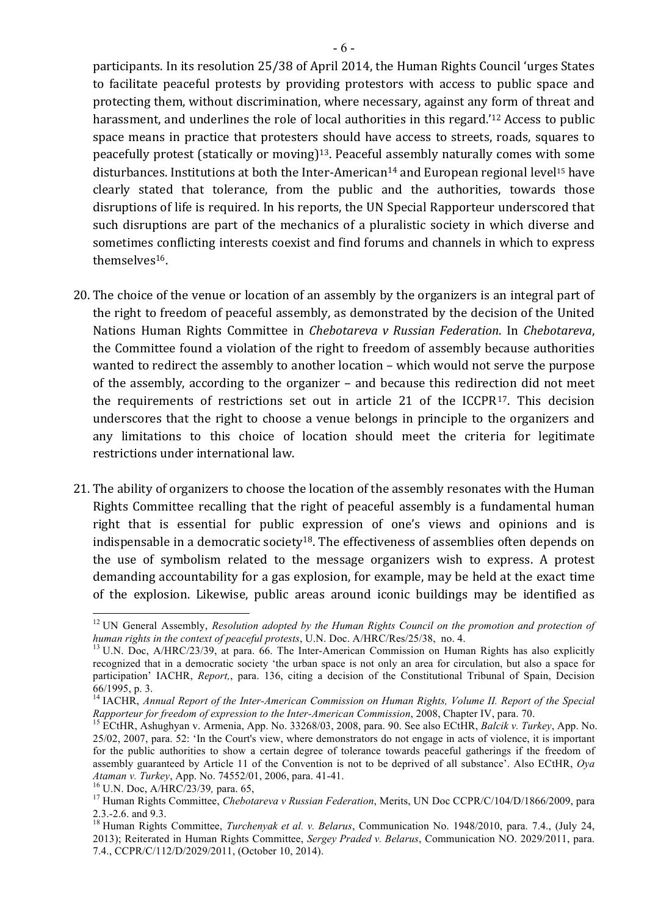participants. In its resolution 25/38 of April 2014, the Human Rights Council 'urges States to facilitate peaceful protests by providing protestors with access to public space and protecting them, without discrimination, where necessary, against any form of threat and harassment, and underlines the role of local authorities in this regard.<sup>'12</sup> Access to public space means in practice that protesters should have access to streets, roads, squares to peacefully protest (statically or moving)<sup>13</sup>. Peaceful assembly naturally comes with some disturbances. Institutions at both the Inter-American<sup>14</sup> and European regional level<sup>15</sup> have clearly stated that tolerance, from the public and the authorities, towards those disruptions of life is required. In his reports, the UN Special Rapporteur underscored that such disruptions are part of the mechanics of a pluralistic society in which diverse and sometimes conflicting interests coexist and find forums and channels in which to express themselves16.

- 20. The choice of the venue or location of an assembly by the organizers is an integral part of the right to freedom of peaceful assembly, as demonstrated by the decision of the United Nations Human Rights Committee in *Chebotareva v Russian Federation*. In *Chebotareva*, the Committee found a violation of the right to freedom of assembly because authorities wanted to redirect the assembly to another location – which would not serve the purpose of the assembly, according to the organizer  $-$  and because this redirection did not meet the requirements of restrictions set out in article 21 of the ICCPR<sup>17</sup>. This decision underscores that the right to choose a venue belongs in principle to the organizers and any limitations to this choice of location should meet the criteria for legitimate restrictions under international law.
- 21. The ability of organizers to choose the location of the assembly resonates with the Human Rights Committee recalling that the right of peaceful assembly is a fundamental human right that is essential for public expression of one's views and opinions and is indispensable in a democratic society<sup>18</sup>. The effectiveness of assemblies often depends on the use of symbolism related to the message organizers wish to express. A protest demanding accountability for a gas explosion, for example, may be held at the exact time of the explosion. Likewise, public areas around iconic buildings may be identified as

<sup>&</sup>lt;sup>12</sup> UN General Assembly, *Resolution adopted by the Human Rights Council on the promotion and protection of human rights in the context of peaceful protests*, U.N. Doc. A/HRC/Res/25/38, no. 4.<br><sup>13</sup> U.N. Doc, A/HRC/23/39, at para. 66. The Inter-American Commission on Human Rights has also explicitly

recognized that in a democratic society 'the urban space is not only an area for circulation, but also a space for participation' IACHR, *Report,*, para. 136, citing a decision of the Constitutional Tribunal of Spain, Decision 66/1995, p. 3.

<sup>&</sup>lt;sup>14</sup> IACHR, *Annual Report of the Inter-American Commission on Human Rights, Volume II. Report of the Special Rapporteur for freedom of expression to the Inter-American Commission*, 2008, Chapter IV, para. 70. 15 ECtHR, Ashughyan v. Armenia, App. No. 33268/03, 2008, para. 90. See also ECtHR, *Balcik v. Turkey*, App. No.

<sup>25/02, 2007,</sup> para. 52: 'In the Court's view, where demonstrators do not engage in acts of violence, it is important for the public authorities to show a certain degree of tolerance towards peaceful gatherings if the freedom of assembly guaranteed by Article 11 of the Convention is not to be deprived of all substance'. Also ECtHR, *Oya Ataman v. Turkey*, App. No. 74552/01, 2006, para. 41-41.<br><sup>16</sup> U.N. Doc, A/HRC/23/39, para. 65,

<sup>&</sup>lt;sup>17</sup> Human Rights Committee, *Chebotareva v Russian Federation*, Merits, UN Doc CCPR/C/104/D/1866/2009, para

<sup>2.3.-2.6.</sup> and 9.3. <sup>18</sup> Human Rights Committee, *Turchenyak et al. v. Belarus*, Communication No. 1948/2010, para. 7.4., (July 24, 2013); Reiterated in Human Rights Committee, *Sergey Praded v. Belarus*, Communication NO. 2029/2011, para. 7.4., CCPR/C/112/D/2029/2011, (October 10, 2014).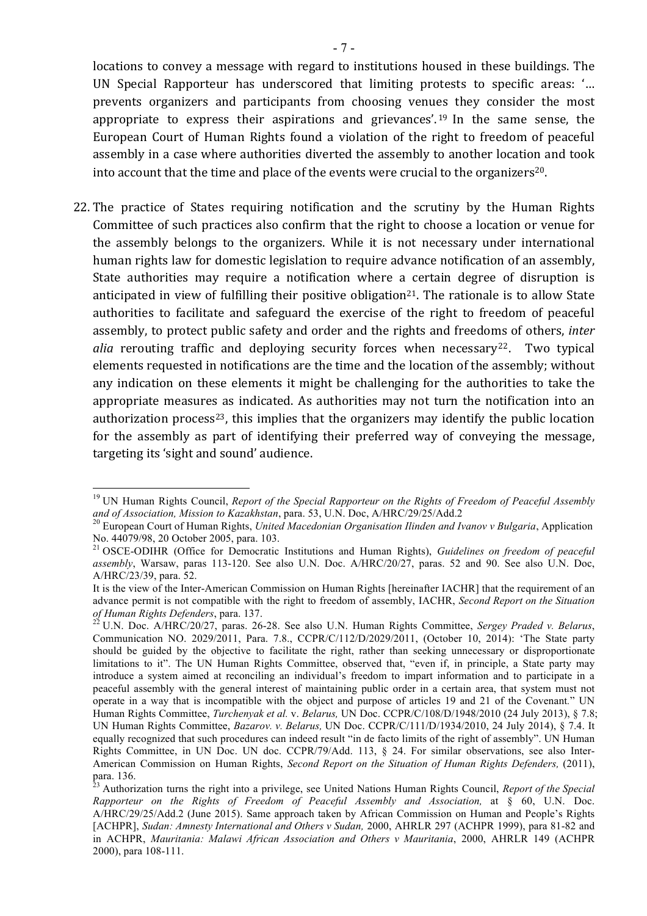locations to convey a message with regard to institutions housed in these buildings. The UN Special Rapporteur has underscored that limiting protests to specific areas: '... prevents organizers and participants from choosing venues they consider the most appropriate to express their aspirations and grievances'. <sup>19</sup> In the same sense, the European Court of Human Rights found a violation of the right to freedom of peaceful assembly in a case where authorities diverted the assembly to another location and took into account that the time and place of the events were crucial to the organizers<sup>20</sup>.

22. The practice of States requiring notification and the scrutiny by the Human Rights Committee of such practices also confirm that the right to choose a location or venue for the assembly belongs to the organizers. While it is not necessary under international human rights law for domestic legislation to require advance notification of an assembly, State authorities may require a notification where a certain degree of disruption is anticipated in view of fulfilling their positive obligation<sup>21</sup>. The rationale is to allow State authorities to facilitate and safeguard the exercise of the right to freedom of peaceful assembly, to protect public safety and order and the rights and freedoms of others, *inter alia* rerouting traffic and deploying security forces when necessary<sup>22</sup>. Two typical elements requested in notifications are the time and the location of the assembly; without any indication on these elements it might be challenging for the authorities to take the appropriate measures as indicated. As authorities may not turn the notification into an authorization process<sup>23</sup>, this implies that the organizers may identify the public location for the assembly as part of identifying their preferred way of conveying the message, targeting its 'sight and sound' audience.

 <sup>19</sup> UN Human Rights Council, *Report of the Special Rapporteur on the Rights of Freedom of Peaceful Assembly*  and of Association, Mission to Kazakhstan, para. 53, U.N. Doc, A/HRC/29/25/Add.2<br><sup>20</sup> European Court of Human Rights, *United Macedonian Organisation Ilinden and Ivanov v Bulgaria*, Application

No. 44079/98, 20 October 2005, para. 103.

<sup>21</sup> OSCE-ODIHR (Office for Democratic Institutions and Human Rights), *Guidelines on freedom of peaceful assembly*, Warsaw, paras 113-120. See also U.N. Doc. A/HRC/20/27, paras. 52 and 90. See also U.N. Doc, A/HRC/23/39, para. 52.

It is the view of the Inter-American Commission on Human Rights [hereinafter IACHR] that the requirement of an advance permit is not compatible with the right to freedom of assembly, IACHR, *Second Report on the Situation of Human Rights Defenders*, para. 137. <sup>22</sup> U.N. Doc. A/HRC/20/27, paras. 26-28. See also U.N. Human Rights Committee, *Sergey Praded v. Belarus*,

Communication NO. 2029/2011, Para. 7.8., CCPR/C/112/D/2029/2011, (October 10, 2014): 'The State party should be guided by the objective to facilitate the right, rather than seeking unnecessary or disproportionate limitations to it". The UN Human Rights Committee, observed that, "even if, in principle, a State party may introduce a system aimed at reconciling an individual's freedom to impart information and to participate in a peaceful assembly with the general interest of maintaining public order in a certain area, that system must not operate in a way that is incompatible with the object and purpose of articles 19 and 21 of the Covenant*.*" UN Human Rights Committee, *Turchenyak et al.* v. *Belarus,* UN Doc. CCPR/C/108/D/1948/2010 (24 July 2013), § 7.8; UN Human Rights Committee, *Bazarov. v. Belarus,* UN Doc. CCPR/C/111/D/1934/2010, 24 July 2014), § 7.4. It equally recognized that such procedures can indeed result "in de facto limits of the right of assembly". UN Human Rights Committee, in UN Doc. UN doc. CCPR/79/Add. 113, § 24. For similar observations, see also Inter-American Commission on Human Rights, *Second Report on the Situation of Human Rights Defenders,* (2011), para. 136.

<sup>23</sup> Authorization turns the right into a privilege, see United Nations Human Rights Council, *Report of the Special Rapporteur on the Rights of Freedom of Peaceful Assembly and Association,* at § 60, U.N. Doc. A/HRC/29/25/Add.2 (June 2015). Same approach taken by African Commission on Human and People's Rights [ACHPR], *Sudan: Amnesty International and Others v Sudan,* 2000, AHRLR 297 (ACHPR 1999), para 81-82 and in ACHPR, *Mauritania: Malawi African Association and Others v Mauritania*, 2000, AHRLR 149 (ACHPR 2000), para 108-111.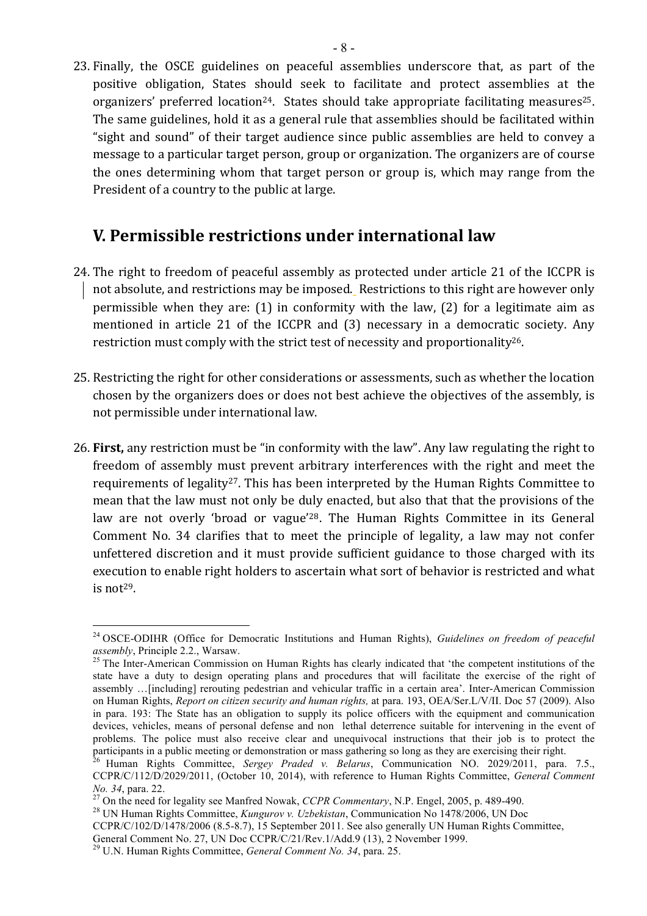23. Finally, the OSCE guidelines on peaceful assemblies underscore that, as part of the positive obligation, States should seek to facilitate and protect assemblies at the organizers' preferred location<sup>24</sup>. States should take appropriate facilitating measures<sup>25</sup>. The same guidelines, hold it as a general rule that assemblies should be facilitated within "sight and sound" of their target audience since public assemblies are held to convey a message to a particular target person, group or organization. The organizers are of course the ones determining whom that target person or group is, which may range from the President of a country to the public at large.

### **V.** Permissible restrictions under international law

- 24. The right to freedom of peaceful assembly as protected under article 21 of the ICCPR is not absolute, and restrictions may be imposed. Restrictions to this right are however only permissible when they are:  $(1)$  in conformity with the law,  $(2)$  for a legitimate aim as mentioned in article 21 of the ICCPR and (3) necessary in a democratic society. Any restriction must comply with the strict test of necessity and proportionality<sup>26</sup>.
- 25. Restricting the right for other considerations or assessments, such as whether the location chosen by the organizers does or does not best achieve the objectives of the assembly, is not permissible under international law.
- 26. **First**, any restriction must be "in conformity with the law". Any law regulating the right to freedom of assembly must prevent arbitrary interferences with the right and meet the requirements of legality<sup>27</sup>. This has been interpreted by the Human Rights Committee to mean that the law must not only be duly enacted, but also that that the provisions of the law are not overly 'broad or vague'<sup>28</sup>. The Human Rights Committee in its General Comment No. 34 clarifies that to meet the principle of legality, a law may not confer unfettered discretion and it must provide sufficient guidance to those charged with its execution to enable right holders to ascertain what sort of behavior is restricted and what is not $29$ .

 <sup>24</sup> OSCE-ODIHR (Office for Democratic Institutions and Human Rights), *Guidelines on freedom of peaceful assembly*, Principle 2.2., Warsaw.<br><sup>25</sup> The Inter-American Commission on Human Rights has clearly indicated that 'the competent institutions of the

state have a duty to design operating plans and procedures that will facilitate the exercise of the right of assembly …[including] rerouting pedestrian and vehicular traffic in a certain area'. Inter-American Commission on Human Rights, *Report on citizen security and human rights,* at para. 193, OEA/Ser.L/V/II. Doc 57 (2009). Also in para. 193: The State has an obligation to supply its police officers with the equipment and communication devices, vehicles, means of personal defense and nonlethal deterrence suitable for intervening in the event of problems. The police must also receive clear and unequivocal instructions that their job is to protect the participants in a public meeting or demonstration or mass gathering so long as they are exercising their right.

<sup>26</sup> Human Rights Committee, *Sergey Praded v. Belarus*, Communication NO. 2029/2011, para. 7.5., CCPR/C/112/D/2029/2011, (October 10, 2014), with reference to Human Rights Committee, *General Comment No. 34*, para. 22. 27 On the need for legality see Manfred Nowak, *CCPR Commentary*, N.P. Engel, 2005, p. 489-490. 28 UN Human Rights Committee, *Kungurov v. Uzbekistan*, Communication No 1478/2006, UN Doc

CCPR/C/102/D/1478/2006 (8.5-8.7), 15 September 2011. See also generally UN Human Rights Committee,

General Comment No. 27, UN Doc CCPR/C/21/Rev.1/Add.9 (13), 2 November 1999.

<sup>29</sup> U.N. Human Rights Committee, *General Comment No. 34*, para. 25.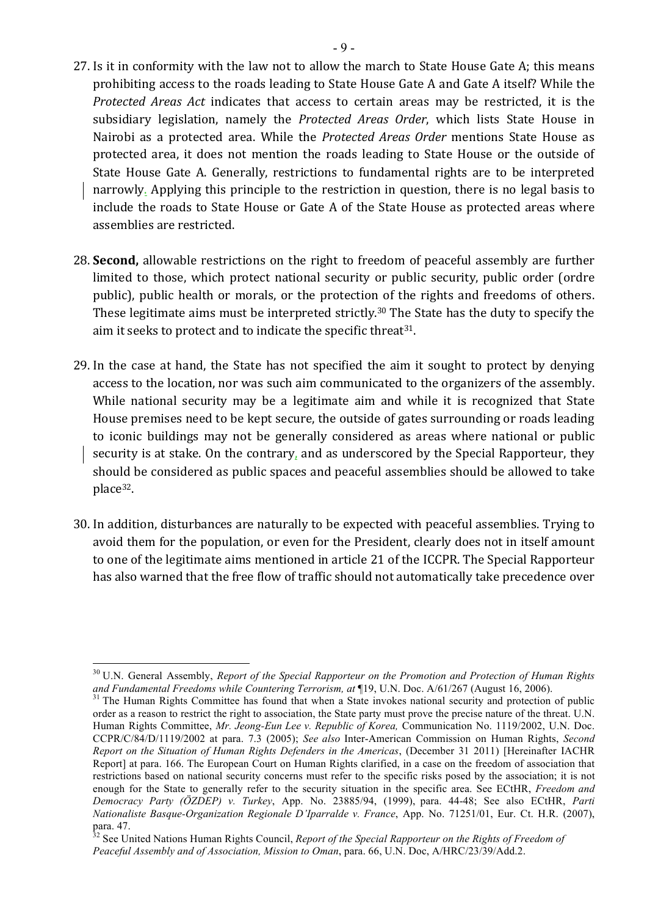- 27. Is it in conformity with the law not to allow the march to State House Gate A; this means prohibiting access to the roads leading to State House Gate A and Gate A itself? While the *Protected Areas Act* indicates that access to certain areas may be restricted, it is the subsidiary legislation, namely the *Protected Areas Order*, which lists State House in Nairobi as a protected area. While the *Protected Areas Order* mentions State House as protected area, it does not mention the roads leading to State House or the outside of State House Gate A. Generally, restrictions to fundamental rights are to be interpreted narrowly. Applying this principle to the restriction in question, there is no legal basis to include the roads to State House or Gate A of the State House as protected areas where assemblies are restricted.
- 28. **Second**, allowable restrictions on the right to freedom of peaceful assembly are further limited to those, which protect national security or public security, public order (ordre public), public health or morals, or the protection of the rights and freedoms of others. These legitimate aims must be interpreted strictly.<sup>30</sup> The State has the duty to specify the aim it seeks to protect and to indicate the specific threat<sup>31</sup>.
- 29. In the case at hand, the State has not specified the aim it sought to protect by denying access to the location, nor was such aim communicated to the organizers of the assembly. While national security may be a legitimate aim and while it is recognized that State House premises need to be kept secure, the outside of gates surrounding or roads leading to iconic buildings may not be generally considered as areas where national or public security is at stake. On the contrary, and as underscored by the Special Rapporteur, they should be considered as public spaces and peaceful assemblies should be allowed to take place32.
- 30. In addition, disturbances are naturally to be expected with peaceful assemblies. Trying to avoid them for the population, or even for the President, clearly does not in itself amount to one of the legitimate aims mentioned in article 21 of the ICCPR. The Special Rapporteur has also warned that the free flow of traffic should not automatically take precedence over

 <sup>30</sup> U.N. General Assembly, *Report of the Special Rapporteur on the Promotion and Protection of Human Rights*  and Fundamental Freedoms while Countering Terrorism, at ¶19, U.N. Doc. A/61/267 (August 16, 2006).<br><sup>31</sup> The Human Rights Committee has found that when a State invokes national security and protection of public

order as a reason to restrict the right to association, the State party must prove the precise nature of the threat. U.N. Human Rights Committee, *Mr. Jeong-Eun Lee v. Republic of Korea,* Communication No. 1119/2002, U.N. Doc. CCPR/C/84/D/1119/2002 at para. 7.3 (2005); *See also* Inter-American Commission on Human Rights, *Second Report on the Situation of Human Rights Defenders in the Americas*, (December 31 2011) [Hereinafter IACHR Report] at para. 166. The European Court on Human Rights clarified, in a case on the freedom of association that restrictions based on national security concerns must refer to the specific risks posed by the association; it is not enough for the State to generally refer to the security situation in the specific area. See ECtHR, *Freedom and Democracy Party (ÖZDEP) v. Turkey*, App. No. 23885/94, (1999), para. 44-48; See also ECtHR, *Parti Nationaliste Basque-Organization Regionale D'Iparralde v. France*, App. No. 71251/01, Eur. Ct. H.R. (2007), para. 47.

<sup>32</sup> See United Nations Human Rights Council, *Report of the Special Rapporteur on the Rights of Freedom of Peaceful Assembly and of Association, Mission to Oman*, para. 66, U.N. Doc, A/HRC/23/39/Add.2.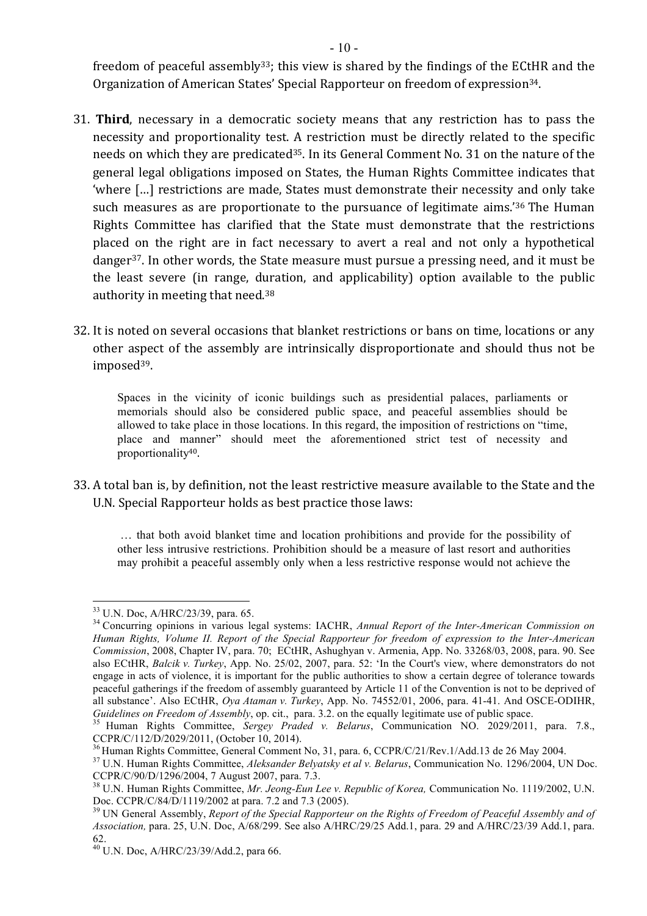freedom of peaceful assembly<sup>33</sup>; this view is shared by the findings of the ECtHR and the Organization of American States' Special Rapporteur on freedom of expression<sup>34</sup>.

- 31. **Third**, necessary in a democratic society means that any restriction has to pass the necessity and proportionality test. A restriction must be directly related to the specific needs on which they are predicated<sup>35</sup>. In its General Comment No. 31 on the nature of the general legal obligations imposed on States, the Human Rights Committee indicates that 'where [...] restrictions are made, States must demonstrate their necessity and only take such measures as are proportionate to the pursuance of legitimate aims.<sup>'36</sup> The Human Rights Committee has clarified that the State must demonstrate that the restrictions placed on the right are in fact necessary to avert a real and not only a hypothetical danger<sup>37</sup>. In other words, the State measure must pursue a pressing need, and it must be the least severe (in range, duration, and applicability) option available to the public authority in meeting that need. $38$
- 32. It is noted on several occasions that blanket restrictions or bans on time, locations or any other aspect of the assembly are intrinsically disproportionate and should thus not be imposed39.

Spaces in the vicinity of iconic buildings such as presidential palaces, parliaments or memorials should also be considered public space, and peaceful assemblies should be allowed to take place in those locations. In this regard, the imposition of restrictions on "time, place and manner" should meet the aforementioned strict test of necessity and proportionality40. 

33. A total ban is, by definition, not the least restrictive measure available to the State and the U.N. Special Rapporteur holds as best practice those laws:

… that both avoid blanket time and location prohibitions and provide for the possibility of other less intrusive restrictions. Prohibition should be a measure of last resort and authorities may prohibit a peaceful assembly only when a less restrictive response would not achieve the

<sup>&</sup>lt;sup>33</sup> U.N. Doc, A/HRC/23/39, para. 65.<br><sup>34</sup> Concurring opinions in various legal systems: IACHR, *Annual Report of the Inter-American Commission on Human Rights, Volume II. Report of the Special Rapporteur for freedom of expression to the Inter-American Commission*, 2008, Chapter IV, para. 70; ECtHR, Ashughyan v. Armenia, App. No. 33268/03, 2008, para. 90. See also ECtHR, *Balcik v. Turkey*, App. No. 25/02, 2007, para. 52: 'In the Court's view, where demonstrators do not engage in acts of violence, it is important for the public authorities to show a certain degree of tolerance towards peaceful gatherings if the freedom of assembly guaranteed by Article 11 of the Convention is not to be deprived of all substance'. Also ECtHR, *Oya Ataman v. Turkey*, App. No. 74552/01, 2006, para. 41-41. And OSCE-ODIHR, *Guidelines on Freedom of Assembly*, op. cit., para. 3.2. on the equally legitimate use of public space.<br><sup>35</sup> Human Rights Committee, *Sergey Praded v. Belarus*, Communication NO. 2029/2011, para. 7.8.,

CCPR/C/112/D/2029/2011, (October 10, 2014).<br><sup>36</sup> Human Rights Committee, General Comment No, 31, para. 6, CCPR/C/21/Rev.1/Add.13 de 26 May 2004.<br><sup>37</sup> U.N. Human Rights Committee, *Aleksander Belyatsky et al v. Belarus*, Co

CCPR/C/90/D/1296/2004, 7 August 2007, para. 7.3.<br><sup>38</sup> U.N. Human Rights Committee, *Mr. Jeong-Eun Lee v. Republic of Korea*, Communication No. 1119/2002, U.N.<br>Doc. CCPR/C/84/D/1119/2002 at para. 7.2 and 7.3 (2005).

<sup>&</sup>lt;sup>39</sup> UN General Assembly, *Report of the Special Rapporteur on the Rights of Freedom of Peaceful Assembly and of Association,* para. 25, U.N. Doc, A/68/299. See also A/HRC/29/25 Add.1, para. 29 and A/HRC/23/39 Add.1, para. 62.

<sup>40</sup> U.N. Doc, A/HRC/23/39/Add.2, para 66.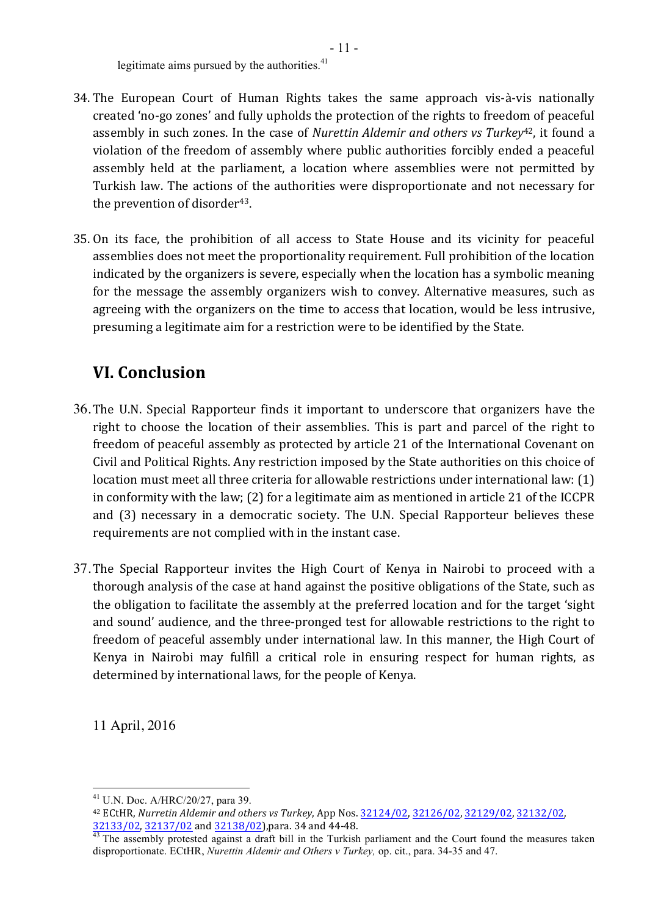legitimate aims pursued by the authorities.<sup>41</sup>

- 34. The European Court of Human Rights takes the same approach vis-à-vis nationally created 'no-go zones' and fully upholds the protection of the rights to freedom of peaceful assembly in such zones. In the case of *Nurettin Aldemir and others vs Turkey*<sup>42</sup>, it found a violation of the freedom of assembly where public authorities forcibly ended a peaceful assembly held at the parliament, a location where assemblies were not permitted by Turkish law. The actions of the authorities were disproportionate and not necessary for the prevention of disorder<sup>43</sup>.
- 35. On its face, the prohibition of all access to State House and its vicinity for peaceful assemblies does not meet the proportionality requirement. Full prohibition of the location indicated by the organizers is severe, especially when the location has a symbolic meaning for the message the assembly organizers wish to convey. Alternative measures, such as agreeing with the organizers on the time to access that location, would be less intrusive, presuming a legitimate aim for a restriction were to be identified by the State.

## **VI. Conclusion**

- 36. The U.N. Special Rapporteur finds it important to underscore that organizers have the right to choose the location of their assemblies. This is part and parcel of the right to freedom of peaceful assembly as protected by article 21 of the International Covenant on Civil and Political Rights. Any restriction imposed by the State authorities on this choice of location must meet all three criteria for allowable restrictions under international law: (1) in conformity with the law;  $(2)$  for a legitimate aim as mentioned in article 21 of the ICCPR and (3) necessary in a democratic society. The U.N. Special Rapporteur believes these requirements are not complied with in the instant case.
- 37. The Special Rapporteur invites the High Court of Kenya in Nairobi to proceed with a thorough analysis of the case at hand against the positive obligations of the State, such as the obligation to facilitate the assembly at the preferred location and for the target 'sight and sound' audience, and the three-pronged test for allowable restrictions to the right to freedom of peaceful assembly under international law. In this manner, the High Court of Kenya in Nairobi may fulfill a critical role in ensuring respect for human rights, as determined by international laws, for the people of Kenya.

11 April, 2016

 <sup>41</sup> U.N. Doc. A/HRC/20/27, para 39.

<sup>42</sup> ECtHR, *Nurretin Aldemir and others vs Turkey*, App Nos.  $32124/02$ ,  $32126/02$ ,  $32129/02$ ,  $32132/02$ ,

 $\frac{32133/02}{43}$ ,  $\frac{32137/02}{43}$  and  $\frac{32138/02}{43}$ , para. 34 and 44-48.  $\frac{43}{43}$  The assembly protested against a draft bill in the Turkish parliament and the Court found the measures taken disproportionate. ECtHR, *Nurettin Aldemir and Others v Turkey,* op. cit., para. 34-35 and 47.